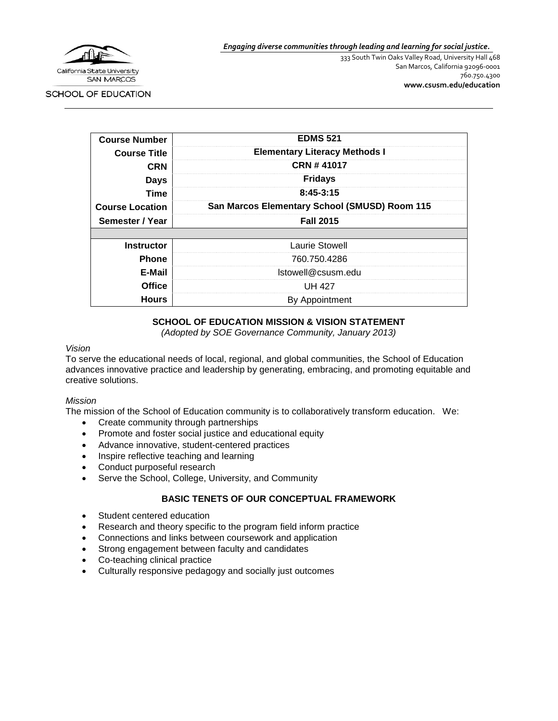

*Engaging diverse communities through leading and learning for social justice.*

333 South Twin Oaks Valley Road, University Hall 468 San Marcos, California 92096-0001 760.750.4300 **[www.csusm.edu/education](http://www.csusm.edu/education)**

SCHOOL OF EDUCATION

| <b>Course Number</b>   | <b>EDMS 521</b>                               |  |  |
|------------------------|-----------------------------------------------|--|--|
| <b>Course Title</b>    | <b>Elementary Literacy Methods I</b>          |  |  |
| <b>CRN</b>             | CRN #41017                                    |  |  |
| <b>Days</b>            | <b>Fridays</b>                                |  |  |
| Time                   | $8:45-3:15$                                   |  |  |
| <b>Course Location</b> | San Marcos Elementary School (SMUSD) Room 115 |  |  |
| Semester / Year        | <b>Fall 2015</b>                              |  |  |
|                        |                                               |  |  |
| <b>Instructor</b>      | Laurie Stowell                                |  |  |
| <b>Phone</b>           | 760.750.4286                                  |  |  |
| E-Mail                 | Istowell@csusm.edu                            |  |  |
| <b>Office</b>          | UH 427                                        |  |  |
| <b>Hours</b>           | By Appointment                                |  |  |

### **SCHOOL OF EDUCATION MISSION & VISION STATEMENT**

*(Adopted by SOE Governance Community, January 2013)*

#### *Vision*

To serve the educational needs of local, regional, and global communities, the School of Education advances innovative practice and leadership by generating, embracing, and promoting equitable and creative solutions.

#### *Mission*

The mission of the School of Education community is to collaboratively transform education. We:

- Create community through partnerships
- Promote and foster social justice and educational equity
- Advance innovative, student-centered practices
- Inspire reflective teaching and learning
- Conduct purposeful research
- Serve the School, College, University, and Community

### **BASIC TENETS OF OUR CONCEPTUAL FRAMEWORK**

- Student centered education
- Research and theory specific to the program field inform practice
- Connections and links between coursework and application
- Strong engagement between faculty and candidates
- Co-teaching clinical practice
- Culturally responsive pedagogy and socially just outcomes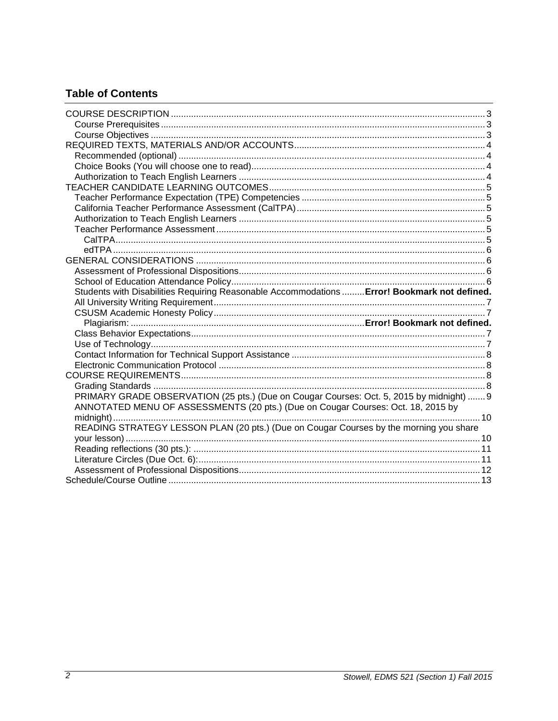# **Table of Contents**

| Students with Disabilities Requiring Reasonable Accommodations  Error! Bookmark not defined. |  |
|----------------------------------------------------------------------------------------------|--|
|                                                                                              |  |
|                                                                                              |  |
|                                                                                              |  |
|                                                                                              |  |
|                                                                                              |  |
|                                                                                              |  |
|                                                                                              |  |
|                                                                                              |  |
|                                                                                              |  |
| PRIMARY GRADE OBSERVATION (25 pts.) (Due on Cougar Courses: Oct. 5, 2015 by midnight)  9     |  |
| ANNOTATED MENU OF ASSESSMENTS (20 pts.) (Due on Cougar Courses: Oct. 18, 2015 by             |  |
|                                                                                              |  |
| READING STRATEGY LESSON PLAN (20 pts.) (Due on Cougar Courses by the morning you share       |  |
|                                                                                              |  |
|                                                                                              |  |
|                                                                                              |  |
|                                                                                              |  |
|                                                                                              |  |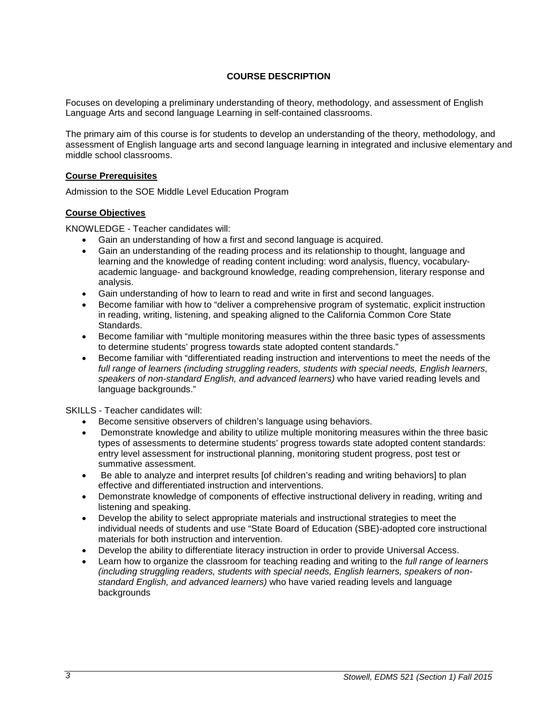### **COURSE DESCRIPTION**

<span id="page-2-0"></span>Focuses on developing a preliminary understanding of theory, methodology, and assessment of English Language Arts and second language Learning in self-contained classrooms.

The primary aim of this course is for students to develop an understanding of the theory, methodology, and assessment of English language arts and second language learning in integrated and inclusive elementary and middle school classrooms.

#### <span id="page-2-1"></span>**Course Prerequisites**

Admission to the SOE Middle Level Education Program

### <span id="page-2-2"></span>**Course Objectives**

KNOWLEDGE - Teacher candidates will:

- Gain an understanding of how a first and second language is acquired.
- Gain an understanding of the reading process and its relationship to thought, language and learning and the knowledge of reading content including: word analysis, fluency, vocabularyacademic language- and background knowledge, reading comprehension, literary response and analysis.
- Gain understanding of how to learn to read and write in first and second languages.
- Become familiar with how to "deliver a comprehensive program of systematic, explicit instruction in reading, writing, listening, and speaking aligned to the California Common Core State **Standards**
- Become familiar with "multiple monitoring measures within the three basic types of assessments to determine students' progress towards state adopted content standards."
- Become familiar with "differentiated reading instruction and interventions to meet the needs of the full range of learners (including struggling readers, students with special needs, English learners, *speakers of non-standard English, and advanced learners)* who have varied reading levels and language backgrounds."

SKILLS - Teacher candidates will:

- Become sensitive observers of children's language using behaviors.
- Demonstrate knowledge and ability to utilize multiple monitoring measures within the three basic types of assessments to determine students' progress towards state adopted content standards: entry level assessment for instructional planning, monitoring student progress, post test or summative assessment.
- Be able to analyze and interpret results [of children's reading and writing behaviors] to plan effective and differentiated instruction and interventions.
- Demonstrate knowledge of components of effective instructional delivery in reading, writing and listening and speaking.
- Develop the ability to select appropriate materials and instructional strategies to meet the individual needs of students and use "State Board of Education (SBE)-adopted core instructional materials for both instruction and intervention.
- Develop the ability to differentiate literacy instruction in order to provide Universal Access.
- Learn how to organize the classroom for teaching reading and writing to the *full range of learners (including struggling readers, students with special needs, English learners, speakers of nonstandard English, and advanced learners)* who have varied reading levels and language backgrounds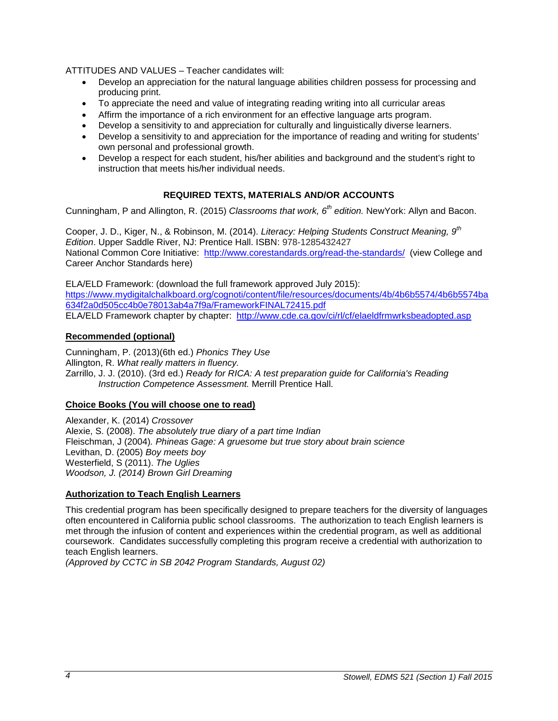ATTITUDES AND VALUES – Teacher candidates will:

- Develop an appreciation for the natural language abilities children possess for processing and producing print.
- To appreciate the need and value of integrating reading writing into all curricular areas
- Affirm the importance of a rich environment for an effective language arts program.
- Develop a sensitivity to and appreciation for culturally and linguistically diverse learners.
- Develop a sensitivity to and appreciation for the importance of reading and writing for students' own personal and professional growth.
- Develop a respect for each student, his/her abilities and background and the student's right to instruction that meets his/her individual needs.

### **REQUIRED TEXTS, MATERIALS AND/OR ACCOUNTS**

<span id="page-3-0"></span>Cunningham, P and Allington, R. (2015) *Classrooms that work, 6th edition.* NewYork: Allyn and Bacon.

Cooper, J. D., Kiger, N., & Robinson, M. (2014). *Literacy: Helping Students Construct Meaning, 9th Edition*. Upper Saddle River, NJ: Prentice Hall. ISBN: 978-1285432427 National Common Core Initiative: <http://www.corestandards.org/read-the-standards/>(view College and Career Anchor Standards here)

ELA/ELD Framework: (download the full framework approved July 2015): [https://www.mydigitalchalkboard.org/cognoti/content/file/resources/documents/4b/4b6b5574/4b6b5574ba](https://www.mydigitalchalkboard.org/cognoti/content/file/resources/documents/4b/4b6b5574/4b6b5574ba634f2a0d505cc4b0e78013ab4a7f9a/FrameworkFINAL72415.pdf) [634f2a0d505cc4b0e78013ab4a7f9a/FrameworkFINAL72415.pdf](https://www.mydigitalchalkboard.org/cognoti/content/file/resources/documents/4b/4b6b5574/4b6b5574ba634f2a0d505cc4b0e78013ab4a7f9a/FrameworkFINAL72415.pdf) ELA/ELD Framework chapter by chapter: <http://www.cde.ca.gov/ci/rl/cf/elaeldfrmwrksbeadopted.asp>

#### <span id="page-3-1"></span>**Recommended (optional)**

Cunningham, P. (2013)(6th ed.) *Phonics They Use* Allington, R. *What really matters in fluency.* Zarrillo, J. J. (2010). (3rd ed.) *Ready for RICA: A test preparation guide for California's Reading Instruction Competence Assessment.* Merrill Prentice Hall.

### <span id="page-3-2"></span>**Choice Books (You will choose one to read)**

Alexander, K. (2014) *Crossover* Alexie, S. (2008). *The absolutely true diary of a part time Indian* Fleischman, J (2004)*. Phineas Gage: A gruesome but true story about brain science* Levithan, D. (2005) *Boy meets boy* Westerfield, S (2011). *The Uglies Woodson, J. (2014) Brown Girl Dreaming*

### <span id="page-3-3"></span>**Authorization to Teach English Learners**

This credential program has been specifically designed to prepare teachers for the diversity of languages often encountered in California public school classrooms. The authorization to teach English learners is met through the infusion of content and experiences within the credential program, as well as additional coursework. Candidates successfully completing this program receive a credential with authorization to teach English learners.

*(Approved by CCTC in SB 2042 Program Standards, August 02)*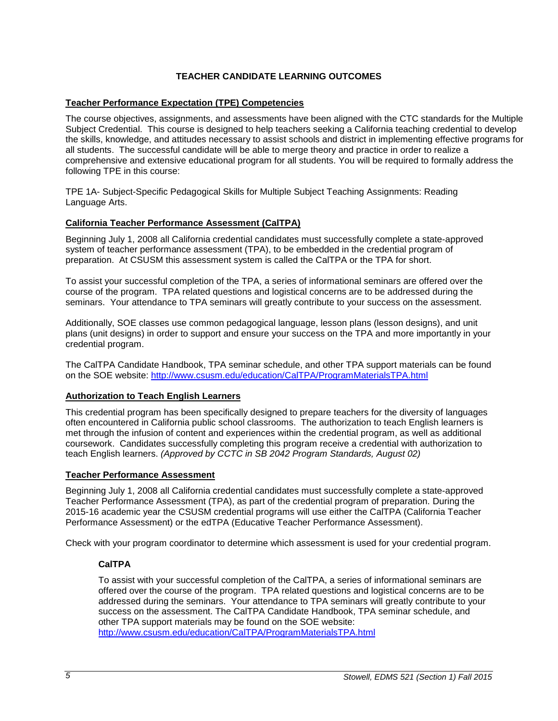### **TEACHER CANDIDATE LEARNING OUTCOMES**

### <span id="page-4-1"></span><span id="page-4-0"></span>**Teacher Performance Expectation (TPE) Competencies**

The course objectives, assignments, and assessments have been aligned with the CTC standards for the Multiple Subject Credential. This course is designed to help teachers seeking a California teaching credential to develop the skills, knowledge, and attitudes necessary to assist schools and district in implementing effective programs for all students. The successful candidate will be able to merge theory and practice in order to realize a comprehensive and extensive educational program for all students. You will be required to formally address the following TPE in this course:

TPE 1A- Subject-Specific Pedagogical Skills for Multiple Subject Teaching Assignments: Reading Language Arts.

### <span id="page-4-2"></span>**California Teacher Performance Assessment (CalTPA)**

Beginning July 1, 2008 all California credential candidates must successfully complete a state-approved system of teacher performance assessment (TPA), to be embedded in the credential program of preparation. At CSUSM this assessment system is called the CalTPA or the TPA for short.

To assist your successful completion of the TPA, a series of informational seminars are offered over the course of the program. TPA related questions and logistical concerns are to be addressed during the seminars. Your attendance to TPA seminars will greatly contribute to your success on the assessment.

Additionally, SOE classes use common pedagogical language, lesson plans (lesson designs), and unit plans (unit designs) in order to support and ensure your success on the TPA and more importantly in your credential program.

The CalTPA Candidate Handbook, TPA seminar schedule, and other TPA support materials can be found on the SOE website:<http://www.csusm.edu/education/CalTPA/ProgramMaterialsTPA.html>

#### <span id="page-4-3"></span>**Authorization to Teach English Learners**

This credential program has been specifically designed to prepare teachers for the diversity of languages often encountered in California public school classrooms. The authorization to teach English learners is met through the infusion of content and experiences within the credential program, as well as additional coursework. Candidates successfully completing this program receive a credential with authorization to teach English learners. *(Approved by CCTC in SB 2042 Program Standards, August 02)*

#### <span id="page-4-4"></span>**Teacher Performance Assessment**

Beginning July 1, 2008 all California credential candidates must successfully complete a state-approved Teacher Performance Assessment (TPA), as part of the credential program of preparation. During the 2015-16 academic year the CSUSM credential programs will use either the CalTPA (California Teacher Performance Assessment) or the edTPA (Educative Teacher Performance Assessment).

<span id="page-4-5"></span>Check with your program coordinator to determine which assessment is used for your credential program.

### **CalTPA**

To assist with your successful completion of the CalTPA, a series of informational seminars are offered over the course of the program. TPA related questions and logistical concerns are to be addressed during the seminars. Your attendance to TPA seminars will greatly contribute to your success on the assessment. The CalTPA Candidate Handbook, TPA seminar schedule, and other TPA support materials may be found on the SOE website: <http://www.csusm.edu/education/CalTPA/ProgramMaterialsTPA.html>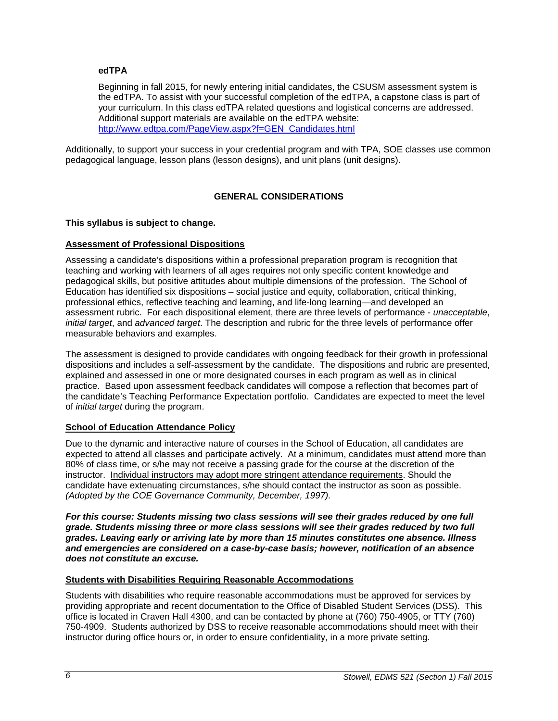### <span id="page-5-0"></span>**edTPA**

Beginning in fall 2015, for newly entering initial candidates, the CSUSM assessment system is the edTPA. To assist with your successful completion of the edTPA, a capstone class is part of your curriculum. In this class edTPA related questions and logistical concerns are addressed. Additional support materials are available on the edTPA website: [http://www.edtpa.com/PageView.aspx?f=GEN\\_Candidates.html](http://www.edtpa.com/PageView.aspx?f=GEN_Candidates.html)

Additionally, to support your success in your credential program and with TPA, SOE classes use common pedagogical language, lesson plans (lesson designs), and unit plans (unit designs).

### **GENERAL CONSIDERATIONS**

### <span id="page-5-1"></span>**This syllabus is subject to change.**

### <span id="page-5-2"></span>**Assessment of Professional Dispositions**

Assessing a candidate's dispositions within a professional preparation program is recognition that teaching and working with learners of all ages requires not only specific content knowledge and pedagogical skills, but positive attitudes about multiple dimensions of the profession. The School of Education has identified six dispositions – social justice and equity, collaboration, critical thinking, professional ethics, reflective teaching and learning, and life-long learning—and developed an assessment rubric. For each dispositional element, there are three levels of performance - *unacceptable*, *initial target*, and *advanced target*. The description and rubric for the three levels of performance offer measurable behaviors and examples.

The assessment is designed to provide candidates with ongoing feedback for their growth in professional dispositions and includes a self-assessment by the candidate. The dispositions and rubric are presented, explained and assessed in one or more designated courses in each program as well as in clinical practice. Based upon assessment feedback candidates will compose a reflection that becomes part of the candidate's Teaching Performance Expectation portfolio. Candidates are expected to meet the level of *initial target* during the program.

### <span id="page-5-3"></span>**School of Education Attendance Policy**

Due to the dynamic and interactive nature of courses in the School of Education, all candidates are expected to attend all classes and participate actively. At a minimum, candidates must attend more than 80% of class time, or s/he may not receive a passing grade for the course at the discretion of the instructor. Individual instructors may adopt more stringent attendance requirements. Should the candidate have extenuating circumstances, s/he should contact the instructor as soon as possible. *(Adopted by the COE Governance Community, December, 1997).*

*For this course: Students missing two class sessions will see their grades reduced by one full grade. Students missing three or more class sessions will see their grades reduced by two full grades. Leaving early or arriving late by more than 15 minutes constitutes one absence. Illness and emergencies are considered on a case-by-case basis; however, notification of an absence does not constitute an excuse.* 

#### **Students with Disabilities Requiring Reasonable Accommodations**

Students with disabilities who require reasonable accommodations must be approved for services by providing appropriate and recent documentation to the Office of Disabled Student Services (DSS). This office is located in Craven Hall 4300, and can be contacted by phone at (760) 750-4905, or TTY (760) 750-4909. Students authorized by DSS to receive reasonable accommodations should meet with their instructor during office hours or, in order to ensure confidentiality, in a more private setting.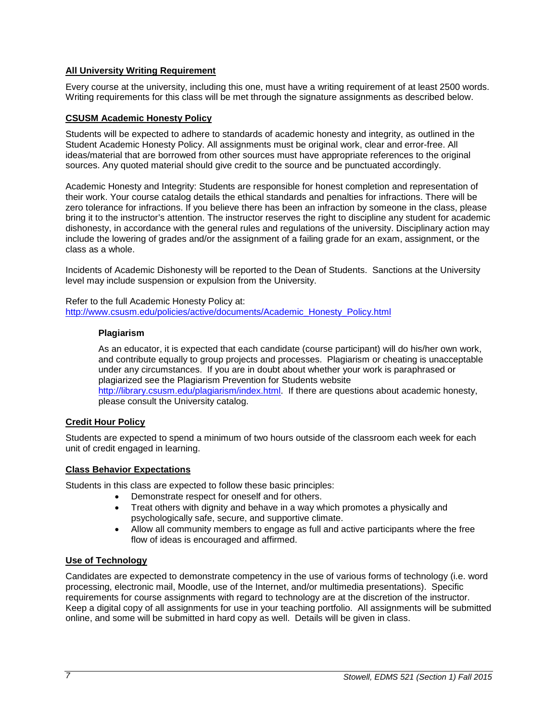### <span id="page-6-0"></span>**All University Writing Requirement**

Every course at the university, including this one, must have a writing requirement of at least 2500 words. Writing requirements for this class will be met through the signature assignments as described below.

### <span id="page-6-1"></span>**CSUSM Academic Honesty Policy**

Students will be expected to adhere to standards of academic honesty and integrity, as outlined in the Student Academic Honesty Policy. All assignments must be original work, clear and error-free. All ideas/material that are borrowed from other sources must have appropriate references to the original sources. Any quoted material should give credit to the source and be punctuated accordingly.

Academic Honesty and Integrity: Students are responsible for honest completion and representation of their work. Your course catalog details the ethical standards and penalties for infractions. There will be zero tolerance for infractions. If you believe there has been an infraction by someone in the class, please bring it to the instructor's attention. The instructor reserves the right to discipline any student for academic dishonesty, in accordance with the general rules and regulations of the university. Disciplinary action may include the lowering of grades and/or the assignment of a failing grade for an exam, assignment, or the class as a whole.

Incidents of Academic Dishonesty will be reported to the Dean of Students. Sanctions at the University level may include suspension or expulsion from the University.

Refer to the full Academic Honesty Policy at: [http://www.csusm.edu/policies/active/documents/Academic\\_Honesty\\_Policy.html](http://www.csusm.edu/policies/active/documents/Academic_Honesty_Policy.html)

#### **Plagiarism**

As an educator, it is expected that each candidate (course participant) will do his/her own work, and contribute equally to group projects and processes. Plagiarism or cheating is unacceptable under any circumstances. If you are in doubt about whether your work is paraphrased or plagiarized see the Plagiarism Prevention for Students website [http://library.csusm.edu/plagiarism/index.html.](http://library.csusm.edu/plagiarism/index.html) If there are questions about academic honesty, please consult the University catalog.

### **Credit Hour Policy**

Students are expected to spend a minimum of two hours outside of the classroom each week for each unit of credit engaged in learning.

### <span id="page-6-2"></span>**Class Behavior Expectations**

Students in this class are expected to follow these basic principles:

- Demonstrate respect for oneself and for others.
- Treat others with dignity and behave in a way which promotes a physically and psychologically safe, secure, and supportive climate.
- Allow all community members to engage as full and active participants where the free flow of ideas is encouraged and affirmed.

### <span id="page-6-3"></span>**Use of Technology**

Candidates are expected to demonstrate competency in the use of various forms of technology (i.e. word processing, electronic mail, Moodle, use of the Internet, and/or multimedia presentations). Specific requirements for course assignments with regard to technology are at the discretion of the instructor. Keep a digital copy of all assignments for use in your teaching portfolio. All assignments will be submitted online, and some will be submitted in hard copy as well. Details will be given in class.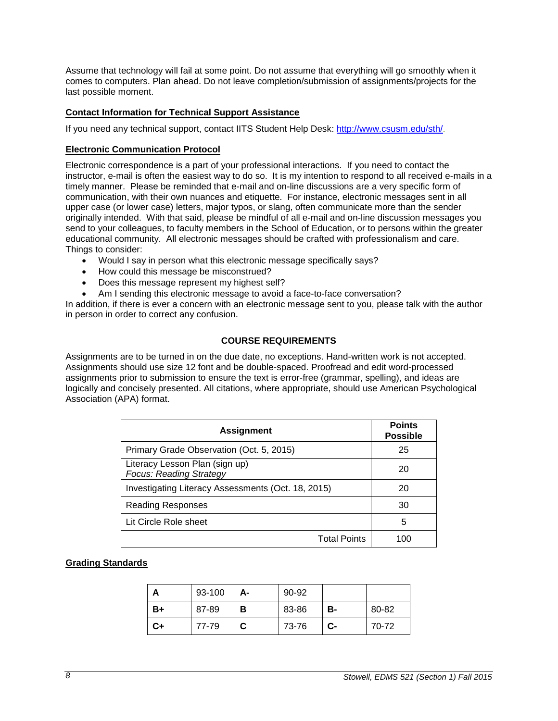Assume that technology will fail at some point. Do not assume that everything will go smoothly when it comes to computers. Plan ahead. Do not leave completion/submission of assignments/projects for the last possible moment.

### <span id="page-7-0"></span>**Contact Information for Technical Support Assistance**

<span id="page-7-1"></span>If you need any technical support, contact IITS Student Help Desk: [http://www.csusm.edu/sth/.](http://www.csusm.edu/sth/)

#### **Electronic Communication Protocol**

Electronic correspondence is a part of your professional interactions. If you need to contact the instructor, e-mail is often the easiest way to do so. It is my intention to respond to all received e-mails in a timely manner. Please be reminded that e-mail and on-line discussions are a very specific form of communication, with their own nuances and etiquette. For instance, electronic messages sent in all upper case (or lower case) letters, major typos, or slang, often communicate more than the sender originally intended. With that said, please be mindful of all e-mail and on-line discussion messages you send to your colleagues, to faculty members in the School of Education, or to persons within the greater educational community. All electronic messages should be crafted with professionalism and care. Things to consider:

- Would I say in person what this electronic message specifically says?
- How could this message be misconstrued?
- Does this message represent my highest self?
- Am I sending this electronic message to avoid a face-to-face conversation?

In addition, if there is ever a concern with an electronic message sent to you, please talk with the author in person in order to correct any confusion.

### **COURSE REQUIREMENTS**

<span id="page-7-2"></span>Assignments are to be turned in on the due date, no exceptions. Hand-written work is not accepted. Assignments should use size 12 font and be double-spaced. Proofread and edit word-processed assignments prior to submission to ensure the text is error-free (grammar, spelling), and ideas are logically and concisely presented. All citations, where appropriate, should use American Psychological Association (APA) format.

| <b>Assignment</b>                                                | <b>Points</b><br><b>Possible</b> |
|------------------------------------------------------------------|----------------------------------|
| Primary Grade Observation (Oct. 5, 2015)                         | 25                               |
| Literacy Lesson Plan (sign up)<br><b>Focus: Reading Strategy</b> | 20                               |
| Investigating Literacy Assessments (Oct. 18, 2015)               | 20                               |
| Reading Responses                                                | 30                               |
| Lit Circle Role sheet                                            | 5                                |
| <b>Total Points</b>                                              |                                  |

### <span id="page-7-3"></span>**Grading Standards**

| m  | 93-100 | А- | 90-92 |    |       |
|----|--------|----|-------|----|-------|
| B+ | 87-89  | в  | 83-86 | в- | 80-82 |
| C+ | 77-79  | C  | 73-76 | C- | 70-72 |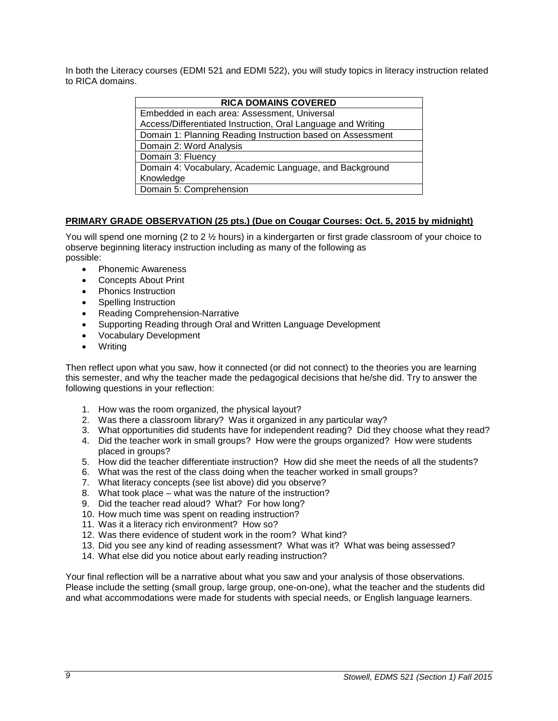In both the Literacy courses (EDMI 521 and EDMI 522), you will study topics in literacy instruction related to RICA domains.

| <b>RICA DOMAINS COVERED</b>                                  |  |  |
|--------------------------------------------------------------|--|--|
| Embedded in each area: Assessment, Universal                 |  |  |
| Access/Differentiated Instruction, Oral Language and Writing |  |  |
| Domain 1: Planning Reading Instruction based on Assessment   |  |  |
| Domain 2: Word Analysis                                      |  |  |
| Domain 3: Fluency                                            |  |  |
| Domain 4: Vocabulary, Academic Language, and Background      |  |  |
| Knowledge                                                    |  |  |
| Domain 5: Comprehension                                      |  |  |

### <span id="page-8-0"></span>**PRIMARY GRADE OBSERVATION (25 pts.) (Due on Cougar Courses: Oct. 5, 2015 by midnight)**

You will spend one morning (2 to 2  $\frac{1}{2}$  hours) in a kindergarten or first grade classroom of your choice to observe beginning literacy instruction including as many of the following as possible:

- Phonemic Awareness
- Concepts About Print
- Phonics Instruction
- Spelling Instruction
- Reading Comprehension-Narrative
- Supporting Reading through Oral and Written Language Development
- Vocabulary Development
- Writing

Then reflect upon what you saw, how it connected (or did not connect) to the theories you are learning this semester, and why the teacher made the pedagogical decisions that he/she did. Try to answer the following questions in your reflection:

- 1. How was the room organized, the physical layout?
- 2. Was there a classroom library? Was it organized in any particular way?
- 3. What opportunities did students have for independent reading? Did they choose what they read?
- 4. Did the teacher work in small groups? How were the groups organized? How were students placed in groups?
- 5. How did the teacher differentiate instruction? How did she meet the needs of all the students?
- 6. What was the rest of the class doing when the teacher worked in small groups?
- 7. What literacy concepts (see list above) did you observe?
- 8. What took place what was the nature of the instruction?
- 9. Did the teacher read aloud? What? For how long?
- 10. How much time was spent on reading instruction?
- 11. Was it a literacy rich environment? How so?
- 12. Was there evidence of student work in the room? What kind?
- 13. Did you see any kind of reading assessment? What was it? What was being assessed?
- 14. What else did you notice about early reading instruction?

Your final reflection will be a narrative about what you saw and your analysis of those observations. Please include the setting (small group, large group, one-on-one), what the teacher and the students did and what accommodations were made for students with special needs, or English language learners.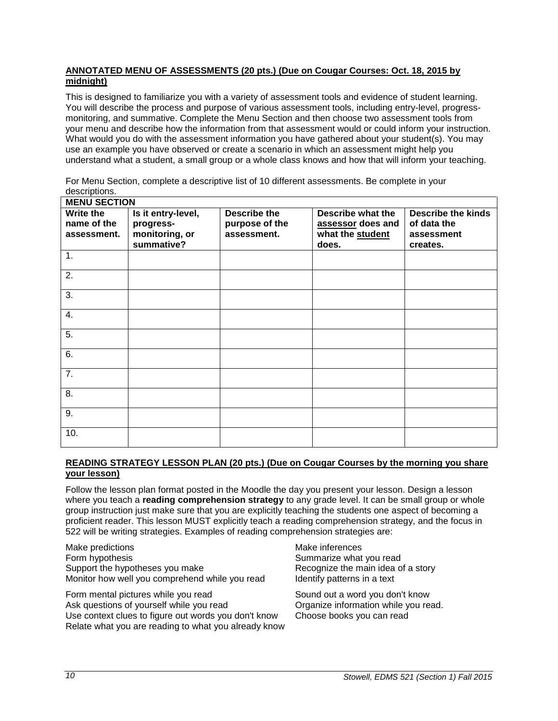### <span id="page-9-0"></span>**ANNOTATED MENU OF ASSESSMENTS (20 pts.) (Due on Cougar Courses: Oct. 18, 2015 by midnight)**

This is designed to familiarize you with a variety of assessment tools and evidence of student learning. You will describe the process and purpose of various assessment tools, including entry-level, progressmonitoring, and summative. Complete the Menu Section and then choose two assessment tools from your menu and describe how the information from that assessment would or could inform your instruction. What would you do with the assessment information you have gathered about your student(s). You may use an example you have observed or create a scenario in which an assessment might help you understand what a student, a small group or a whole class knows and how that will inform your teaching.

For Menu Section, complete a descriptive list of 10 different assessments. Be complete in your descriptions.

| <b>MENU SECTION</b>                     |                                                   |                                                      |                                                            |                                                        |
|-----------------------------------------|---------------------------------------------------|------------------------------------------------------|------------------------------------------------------------|--------------------------------------------------------|
| Write the<br>name of the<br>assessment. | Is it entry-level,<br>progress-<br>monitoring, or | <b>Describe the</b><br>purpose of the<br>assessment. | Describe what the<br>assessor does and<br>what the student | <b>Describe the kinds</b><br>of data the<br>assessment |
|                                         | summative?                                        |                                                      | does.                                                      | creates.                                               |
| 1.                                      |                                                   |                                                      |                                                            |                                                        |
| 2.                                      |                                                   |                                                      |                                                            |                                                        |
| 3.                                      |                                                   |                                                      |                                                            |                                                        |
| 4.                                      |                                                   |                                                      |                                                            |                                                        |
| 5.                                      |                                                   |                                                      |                                                            |                                                        |
| 6.                                      |                                                   |                                                      |                                                            |                                                        |
| 7.                                      |                                                   |                                                      |                                                            |                                                        |
| 8.                                      |                                                   |                                                      |                                                            |                                                        |
| 9.                                      |                                                   |                                                      |                                                            |                                                        |
| 10.                                     |                                                   |                                                      |                                                            |                                                        |

### <span id="page-9-1"></span>**READING STRATEGY LESSON PLAN (20 pts.) (Due on Cougar Courses by the morning you share your lesson)**

Follow the lesson plan format posted in the Moodle the day you present your lesson. Design a lesson where you teach a **reading comprehension strategy** to any grade level. It can be small group or whole group instruction just make sure that you are explicitly teaching the students one aspect of becoming a proficient reader. This lesson MUST explicitly teach a reading comprehension strategy, and the focus in 522 will be writing strategies. Examples of reading comprehension strategies are:

Make predictions and the matter of the Make inferences Form hypothesis **Summarize what you read** Summarize what you read Support the hypotheses you make Recognize the main idea of a story Monitor how well you comprehend while you read Identify patterns in a text

Form mental pictures while you read Sound out a word you don't know Ask questions of yourself while you read **Organize information while you read.**<br>Use context clues to figure out words you don't know Choose books you can read Use context clues to figure out words you don't know Relate what you are reading to what you already know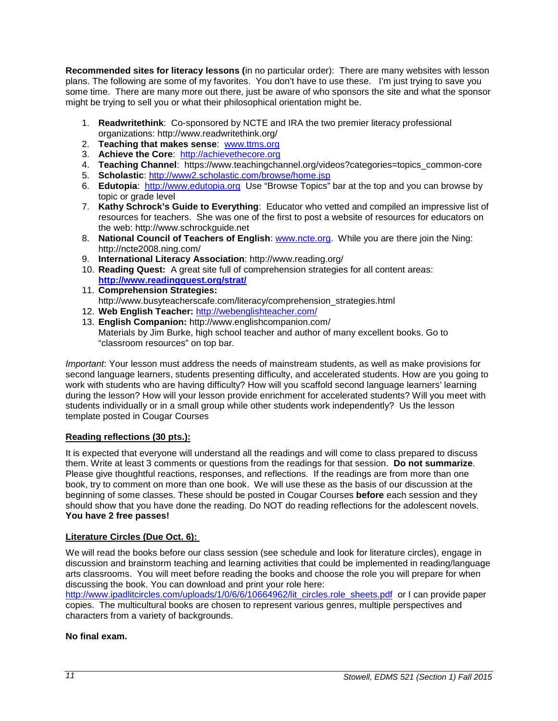**Recommended sites for literacy lessons (**in no particular order): There are many websites with lesson plans. The following are some of my favorites. You don't have to use these. I'm just trying to save you some time. There are many more out there, just be aware of who sponsors the site and what the sponsor might be trying to sell you or what their philosophical orientation might be.

- 1. **Readwritethink**: Co-sponsored by NCTE and IRA the two premier literacy professional organizations: http://www.readwritethink.org/
- 2. **Teaching that makes sense**: [www.ttms.org](http://www.ttms.org/)
- 3. **Achieve the Core**: [http://achievethecore.org](http://achievethecore.org/)
- 4. **Teaching Channel**: https://www.teachingchannel.org/videos?categories=topics\_common-core
- 5. **Scholastic**:<http://www2.scholastic.com/browse/home.jsp>
- 6. **Edutopia**: [http://www.edutopia.org](http://www.edutopia.org/) Use "Browse Topics" bar at the top and you can browse by topic or grade level
- 7. **Kathy Schrock's Guide to Everything**: Educator who vetted and compiled an impressive list of resources for teachers. She was one of the first to post a website of resources for educators on the web: http://www.schrockguide.net
- 8. **National Council of Teachers of English**: [www.ncte.org.](http://www.ncte.org/) While you are there join the Ning: http://ncte2008.ning.com/
- 9. **International Literacy Association**: http://www.reading.org/
- 10. **Reading Quest:** A great site full of comprehension strategies for all content areas: **<http://www.readingquest.org/strat/>**
- 11. **Comprehension Strategies:** http://www.busyteacherscafe.com/literacy/comprehension\_strategies.html
- 12. **Web English Teacher:** <http://webenglishteacher.com/>
- 13. **English Companion:** http://www.englishcompanion.com/ Materials by Jim Burke, high school teacher and author of many excellent books. Go to "classroom resources" on top bar.

*Important*: Your lesson must address the needs of mainstream students, as well as make provisions for second language learners, students presenting difficulty, and accelerated students. How are you going to work with students who are having difficulty? How will you scaffold second language learners' learning during the lesson? How will your lesson provide enrichment for accelerated students? Will you meet with students individually or in a small group while other students work independently? Us the lesson template posted in Cougar Courses

### <span id="page-10-0"></span>**Reading reflections (30 pts.):**

It is expected that everyone will understand all the readings and will come to class prepared to discuss them. Write at least 3 comments or questions from the readings for that session. **Do not summarize**. Please give thoughtful reactions, responses, and reflections. If the readings are from more than one book, try to comment on more than one book. We will use these as the basis of our discussion at the beginning of some classes. These should be posted in Cougar Courses **before** each session and they should show that you have done the reading. Do NOT do reading reflections for the adolescent novels. **You have 2 free passes!**

### <span id="page-10-1"></span>**Literature Circles (Due Oct. 6):**

We will read the books before our class session (see schedule and look for literature circles), engage in discussion and brainstorm teaching and learning activities that could be implemented in reading/language arts classrooms. You will meet before reading the books and choose the role you will prepare for when discussing the book. You can download and print your role here:

[http://www.ipadlitcircles.com/uploads/1/0/6/6/10664962/lit\\_circles.role\\_sheets.pdf](http://www.ipadlitcircles.com/uploads/1/0/6/6/10664962/lit_circles.role_sheets.pdf) or I can provide paper copies. The multicultural books are chosen to represent various genres, multiple perspectives and characters from a variety of backgrounds.

### **No final exam.**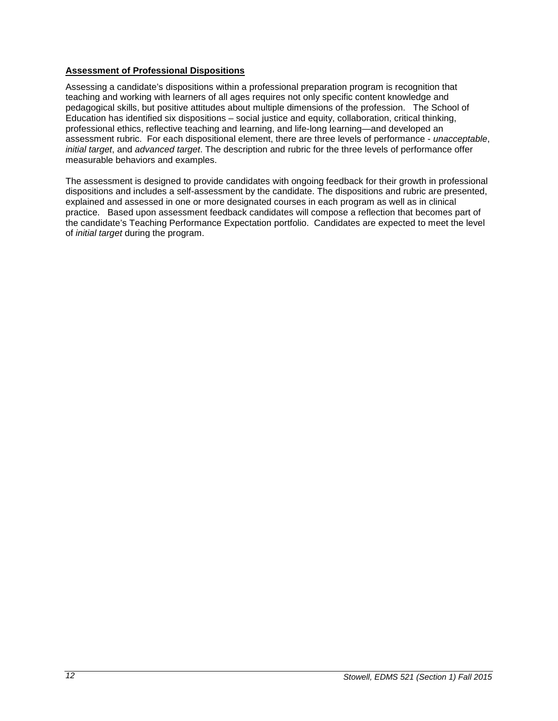### <span id="page-11-0"></span>**Assessment of Professional Dispositions**

Assessing a candidate's dispositions within a professional preparation program is recognition that teaching and working with learners of all ages requires not only specific content knowledge and pedagogical skills, but positive attitudes about multiple dimensions of the profession. The School of Education has identified six dispositions – social justice and equity, collaboration, critical thinking, professional ethics, reflective teaching and learning, and life-long learning—and developed an assessment rubric. For each dispositional element, there are three levels of performance - *unacceptable*, *initial target*, and *advanced target*. The description and rubric for the three levels of performance offer measurable behaviors and examples.

The assessment is designed to provide candidates with ongoing feedback for their growth in professional dispositions and includes a self-assessment by the candidate. The dispositions and rubric are presented, explained and assessed in one or more designated courses in each program as well as in clinical practice. Based upon assessment feedback candidates will compose a reflection that becomes part of the candidate's Teaching Performance Expectation portfolio. Candidates are expected to meet the level of *initial target* during the program.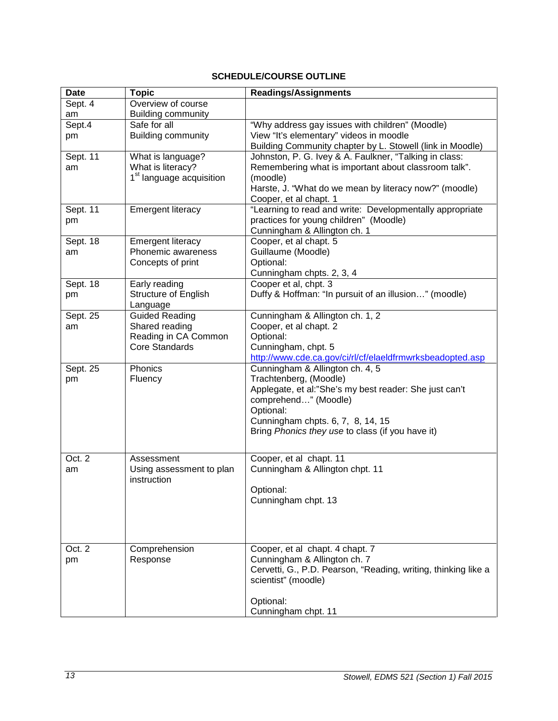## **SCHEDULE/COURSE OUTLINE**

<span id="page-12-0"></span>

| <b>Date</b> | <b>Topic</b>                                              | <b>Readings/Assignments</b>                                      |
|-------------|-----------------------------------------------------------|------------------------------------------------------------------|
| Sept. 4     | Overview of course                                        |                                                                  |
| am          | <b>Building community</b>                                 |                                                                  |
| Sept.4      | Safe for all                                              | "Why address gay issues with children" (Moodle)                  |
| pm          | <b>Building community</b>                                 | View "It's elementary" videos in moodle                          |
|             |                                                           | Building Community chapter by L. Stowell (link in Moodle)        |
| Sept. 11    | What is language?                                         | Johnston, P. G. Ivey & A. Faulkner, "Talking in class:           |
| am          | What is literacy?<br>1 <sup>st</sup> language acquisition | Remembering what is important about classroom talk".<br>(moodle) |
|             |                                                           | Harste, J. "What do we mean by literacy now?" (moodle)           |
|             |                                                           | Cooper, et al chapt. 1                                           |
| Sept. 11    | <b>Emergent literacy</b>                                  | "Learning to read and write: Developmentally appropriate         |
| pm          |                                                           | practices for young children" (Moodle)                           |
|             |                                                           | Cunningham & Allington ch. 1                                     |
| Sept. 18    | <b>Emergent literacy</b>                                  | Cooper, et al chapt. 5                                           |
| am          | Phonemic awareness                                        | Guillaume (Moodle)                                               |
|             | Concepts of print                                         | Optional:                                                        |
|             |                                                           | Cunningham chpts. 2, 3, 4                                        |
| Sept. 18    | Early reading                                             | Cooper et al, chpt. 3                                            |
| pm          | Structure of English                                      | Duffy & Hoffman: "In pursuit of an illusion" (moodle)            |
| Sept. 25    | Language<br><b>Guided Reading</b>                         | Cunningham & Allington ch. 1, 2                                  |
| am          | Shared reading                                            | Cooper, et al chapt. 2                                           |
|             | Reading in CA Common                                      | Optional:                                                        |
|             | <b>Core Standards</b>                                     | Cunningham, chpt. 5                                              |
|             |                                                           | http://www.cde.ca.gov/ci/rl/cf/elaeldfrmwrksbeadopted.asp        |
| Sept. 25    | Phonics                                                   | Cunningham & Allington ch. 4, 5                                  |
| pm          | Fluency                                                   | Trachtenberg, (Moodle)                                           |
|             |                                                           | Applegate, et al:"She's my best reader: She just can't           |
|             |                                                           | comprehend" (Moodle)                                             |
|             |                                                           | Optional:                                                        |
|             |                                                           | Cunningham chpts. 6, 7, 8, 14, 15                                |
|             |                                                           | Bring Phonics they use to class (if you have it)                 |
|             |                                                           |                                                                  |
| Oct. 2      | Assessment                                                | Cooper, et al chapt. 11                                          |
| am          | Using assessment to plan                                  | Cunningham & Allington chpt. 11                                  |
|             | instruction                                               |                                                                  |
|             |                                                           | Optional:<br>Cunningham chpt. 13                                 |
|             |                                                           |                                                                  |
|             |                                                           |                                                                  |
|             |                                                           |                                                                  |
| Oct. 2      | Comprehension                                             | Cooper, et al chapt. 4 chapt. 7                                  |
| pm          | Response                                                  | Cunningham & Allington ch. 7                                     |
|             |                                                           | Cervetti, G., P.D. Pearson, "Reading, writing, thinking like a   |
|             |                                                           | scientist" (moodle)                                              |
|             |                                                           |                                                                  |
|             |                                                           | Optional:                                                        |
|             |                                                           | Cunningham chpt. 11                                              |